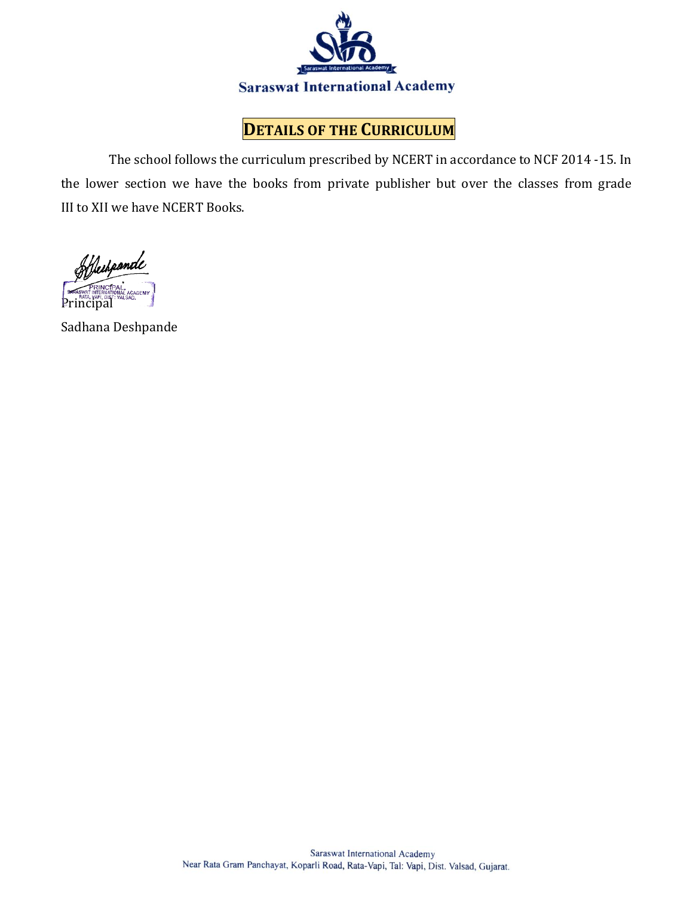

### **DETAILS OF THE CURRICULUM**

The school follows the curriculum prescribed by NCERT in accordance to NCF 2014 -15. In the lower section we have the books from private publisher but over the classes from grade III to XII we have NCERT Books.

Heihpande Principal

Sadhana Deshpande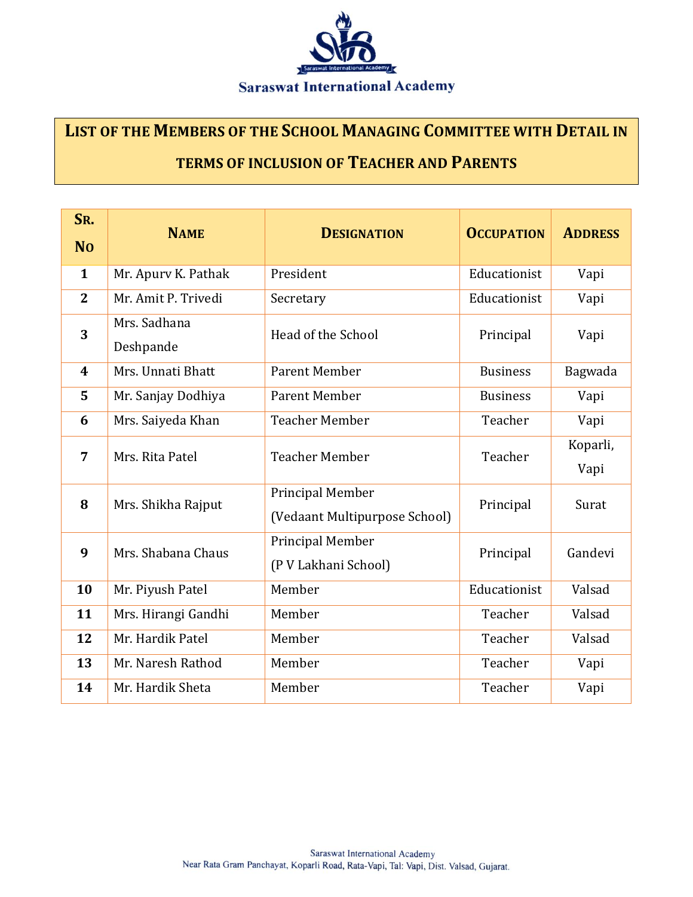

# **LIST OF THE MEMBERS OF THE SCHOOL MANAGING COMMITTEE WITH DETAIL IN TERMS OF INCLUSION OF TEACHER AND PARENTS**

| SR.              | <b>NAME</b>               | <b>DESIGNATION</b>                                | <b>OCCUPATION</b> | <b>ADDRESS</b>   |
|------------------|---------------------------|---------------------------------------------------|-------------------|------------------|
| <b>No</b>        |                           |                                                   |                   |                  |
| $\mathbf{1}$     | Mr. Apury K. Pathak       | President                                         | Educationist      | Vapi             |
| $\overline{2}$   | Mr. Amit P. Trivedi       | Secretary                                         | Educationist      | Vapi             |
| 3                | Mrs. Sadhana<br>Deshpande | Head of the School                                | Principal         | Vapi             |
| $\boldsymbol{4}$ | Mrs. Unnati Bhatt         | <b>Parent Member</b>                              | <b>Business</b>   | Bagwada          |
| 5                | Mr. Sanjay Dodhiya        | <b>Parent Member</b>                              | <b>Business</b>   | Vapi             |
| 6                | Mrs. Saiyeda Khan         | <b>Teacher Member</b>                             | Teacher           | Vapi             |
| $\overline{7}$   | Mrs. Rita Patel           | <b>Teacher Member</b>                             | Teacher           | Koparli,<br>Vapi |
| 8                | Mrs. Shikha Rajput        | Principal Member<br>(Vedaant Multipurpose School) | Principal         | Surat            |
| 9                | Mrs. Shabana Chaus        | Principal Member<br>(P V Lakhani School)          | Principal         | Gandevi          |
| 10               | Mr. Piyush Patel          | Member                                            | Educationist      | Valsad           |
| 11               | Mrs. Hirangi Gandhi       | Member                                            | Teacher           | Valsad           |
| 12               | Mr. Hardik Patel          | Member                                            | Teacher           | Valsad           |
| 13               | Mr. Naresh Rathod         | Member                                            | Teacher           | Vapi             |
| 14               | Mr. Hardik Sheta          | Member                                            | Teacher           | Vapi             |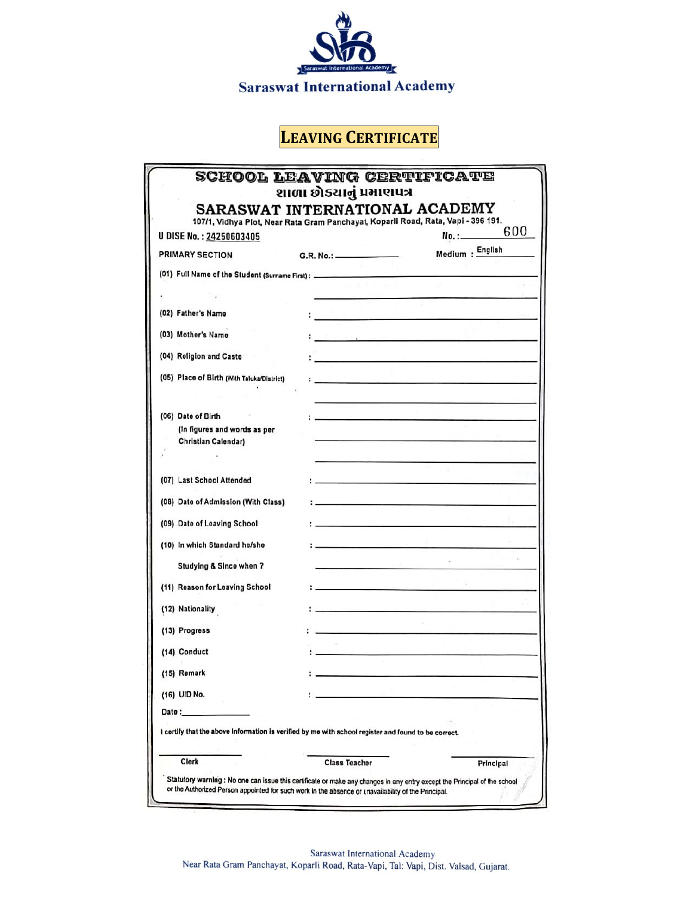

# **LEAVING CERTIFICATE**

| <b>U DISE No.: 24250603405</b>                                                                       |                          | 107/1, Vidhya Plot, Near Rata Gram Panchayat, Koparli Road, Rata, Vapi - 396 191.<br>600<br>No. :_______ |
|------------------------------------------------------------------------------------------------------|--------------------------|----------------------------------------------------------------------------------------------------------|
| PRIMARY SECTION                                                                                      | G.R. No.: ______________ | Medium : English                                                                                         |
|                                                                                                      |                          |                                                                                                          |
|                                                                                                      |                          |                                                                                                          |
|                                                                                                      |                          |                                                                                                          |
| (02) Father's Name                                                                                   |                          |                                                                                                          |
| (03) Mother's Name                                                                                   |                          | 2008 Department of the company of the state of                                                           |
| (04) Religion and Caste                                                                              |                          |                                                                                                          |
| (05) Place of Birth (With Taluka/District)                                                           |                          |                                                                                                          |
|                                                                                                      |                          |                                                                                                          |
| (06) Date of Birth                                                                                   |                          | المحمد المحمد المحمد المحمد المحمد المحمد المحمد المحمد المحمد المحمد المحمد المحمد المحمد المحمد ال     |
| (In figures and words as per                                                                         |                          |                                                                                                          |
| Christian Calendar)                                                                                  |                          |                                                                                                          |
|                                                                                                      |                          |                                                                                                          |
| (07) Last School Attended                                                                            |                          |                                                                                                          |
| (08) Date of Admission (With Class)                                                                  |                          |                                                                                                          |
| (09) Date of Leaving School                                                                          |                          | the control of the state of the Maria                                                                    |
| (10) In which Standard he/she                                                                        |                          | the company of the company of the company of                                                             |
| Studying & Since when ?                                                                              |                          |                                                                                                          |
| (11) Reason for Leaving School                                                                       |                          |                                                                                                          |
|                                                                                                      |                          |                                                                                                          |
| (12) Nationality                                                                                     |                          |                                                                                                          |
| (13) Progress                                                                                        |                          |                                                                                                          |
| (14) Conduct                                                                                         |                          |                                                                                                          |
| (15) Remark                                                                                          |                          |                                                                                                          |
| (16) UID No.                                                                                         |                          |                                                                                                          |
| Date:                                                                                                |                          |                                                                                                          |
| I certify that the above information is verified by me with school register and found to be correct. |                          |                                                                                                          |
| Clerk                                                                                                | <b>Class Teacher</b>     |                                                                                                          |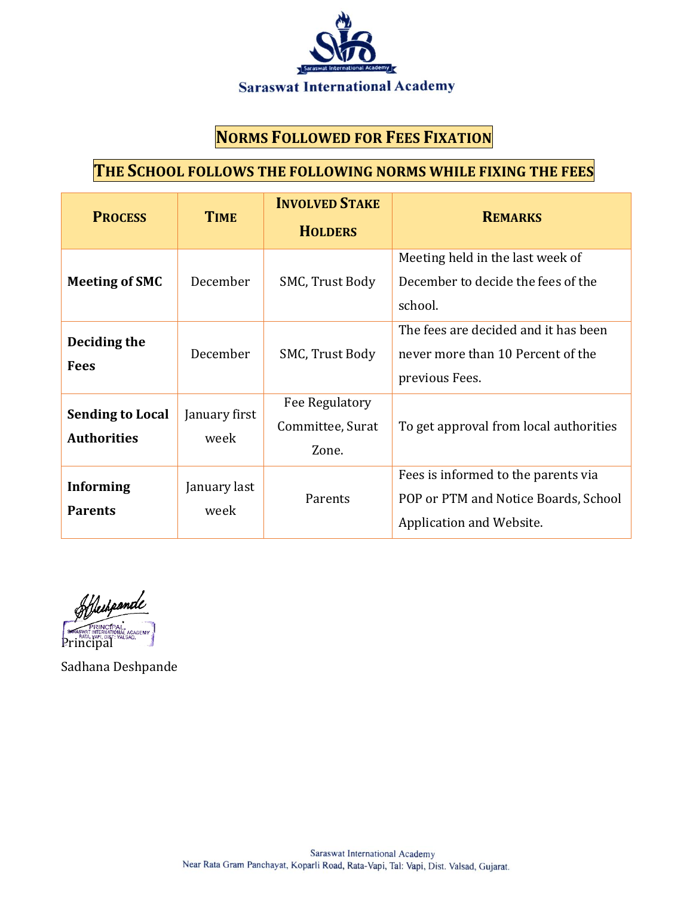

#### **NORMS FOLLOWED FOR FEES FIXATION**

#### **THE SCHOOL FOLLOWS THE FOLLOWING NORMS WHILE FIXING THE FEES**

| <b>PROCESS</b>                                | <b>TIME</b>           | <b>INVOLVED STAKE</b><br><b>HOLDERS</b>     | <b>REMARKS</b>                                                                                          |  |
|-----------------------------------------------|-----------------------|---------------------------------------------|---------------------------------------------------------------------------------------------------------|--|
| <b>Meeting of SMC</b>                         | December              | SMC, Trust Body                             | Meeting held in the last week of<br>December to decide the fees of the<br>school.                       |  |
| Deciding the<br><b>Fees</b>                   | December              | SMC, Trust Body                             | The fees are decided and it has been<br>never more than 10 Percent of the<br>previous Fees.             |  |
| <b>Sending to Local</b><br><b>Authorities</b> | January first<br>week | Fee Regulatory<br>Committee, Surat<br>Zone. | To get approval from local authorities                                                                  |  |
| <b>Informing</b><br><b>Parents</b>            | January last<br>week  | Parents                                     | Fees is informed to the parents via<br>POP or PTM and Notice Boards, School<br>Application and Website. |  |

Heihpande **Principal** ACADEMY

Sadhana Deshpande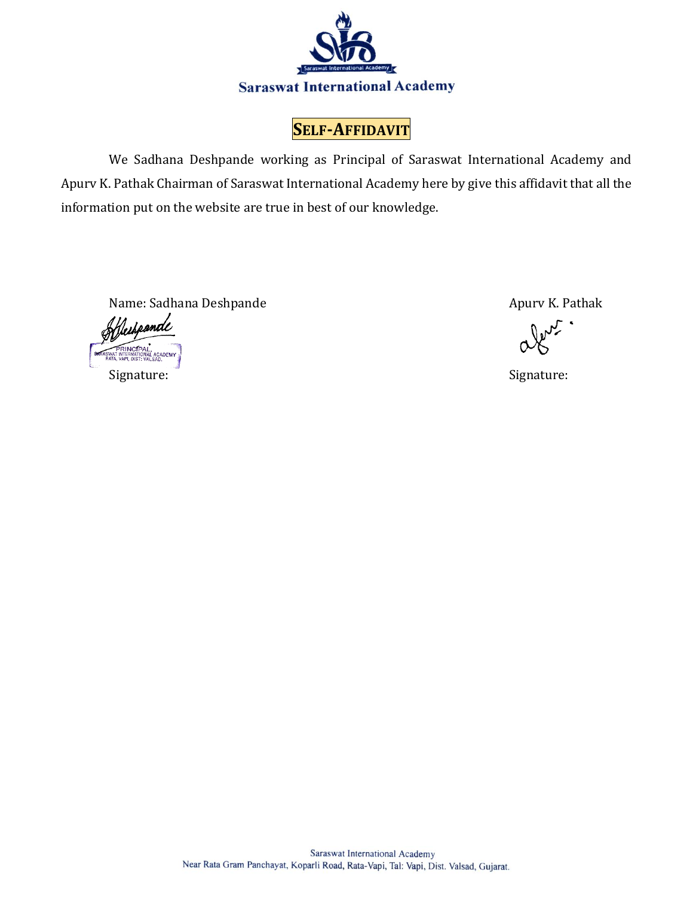

**SELF-AFFIDAVIT**

We Sadhana Deshpande working as Principal of Saraswat International Academy and Apurv K. Pathak Chairman of Saraswat International Academy here by give this affidavit that all the information put on the website are true in best of our knowledge.

Name: Sadhana Deshpande Apurv K. Pathak

Mestponde Signature: Signature: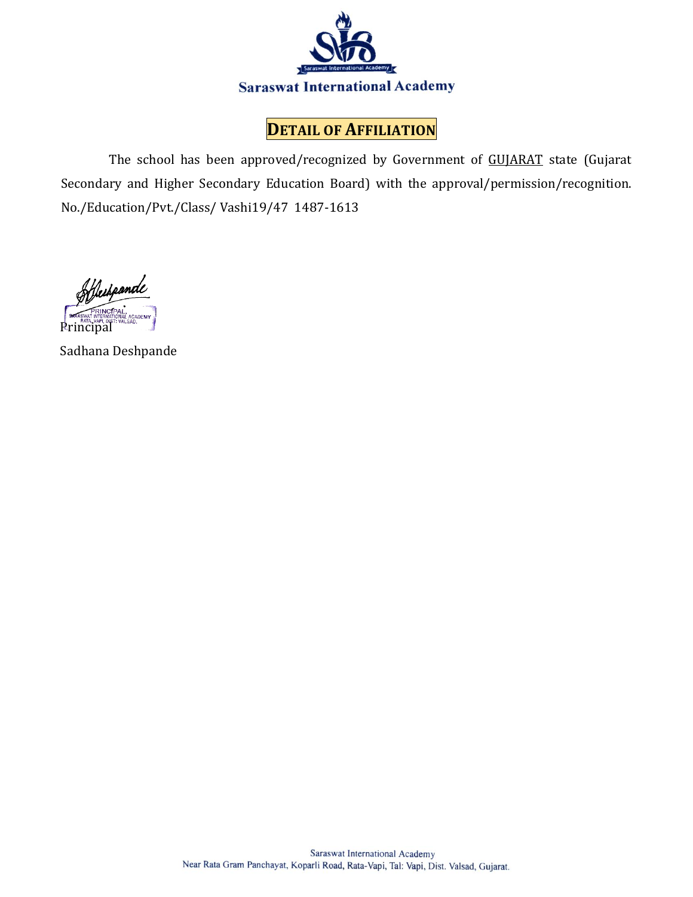

#### **DETAIL OF AFFILIATION**

The school has been approved/recognized by Government of GUJARAT state (Gujarat Secondary and Higher Secondary Education Board) with the approval/permission/recognition. No./Education/Pvt./Class/ Vashi19/47 1487-1613

Hechponde Principal

Sadhana Deshpande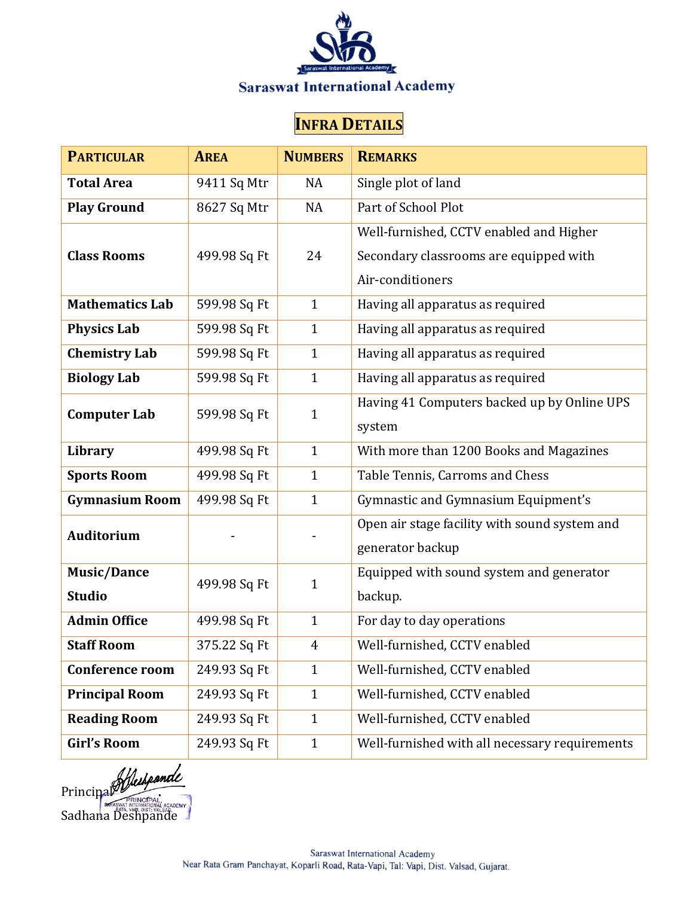

# **INFRA DETAILS**

| <b>PARTICULAR</b>      | <b>AREA</b>  | <b>NUMBERS</b> | <b>REMARKS</b>                                 |  |
|------------------------|--------------|----------------|------------------------------------------------|--|
| <b>Total Area</b>      | 9411 Sq Mtr  | NA             | Single plot of land                            |  |
| <b>Play Ground</b>     | 8627 Sq Mtr  | NA             | Part of School Plot                            |  |
|                        |              |                | Well-furnished, CCTV enabled and Higher        |  |
| <b>Class Rooms</b>     | 499.98 Sq Ft | 24             | Secondary classrooms are equipped with         |  |
|                        |              |                | Air-conditioners                               |  |
| <b>Mathematics Lab</b> | 599.98 Sq Ft | $\mathbf{1}$   | Having all apparatus as required               |  |
| <b>Physics Lab</b>     | 599.98 Sq Ft | $\mathbf{1}$   | Having all apparatus as required               |  |
| <b>Chemistry Lab</b>   | 599.98 Sq Ft | $\mathbf{1}$   | Having all apparatus as required               |  |
| <b>Biology Lab</b>     | 599.98 Sq Ft | $\mathbf{1}$   | Having all apparatus as required               |  |
| <b>Computer Lab</b>    | 599.98 Sq Ft | $\mathbf{1}$   | Having 41 Computers backed up by Online UPS    |  |
|                        |              |                | system                                         |  |
| Library                | 499.98 Sq Ft | $\mathbf{1}$   | With more than 1200 Books and Magazines        |  |
| <b>Sports Room</b>     | 499.98 Sq Ft | $\mathbf{1}$   | Table Tennis, Carroms and Chess                |  |
| <b>Gymnasium Room</b>  | 499.98 Sq Ft | $\mathbf{1}$   | Gymnastic and Gymnasium Equipment's            |  |
| <b>Auditorium</b>      |              |                | Open air stage facility with sound system and  |  |
|                        |              |                | generator backup                               |  |
| <b>Music/Dance</b>     | 499.98 Sq Ft | $\mathbf{1}$   | Equipped with sound system and generator       |  |
| <b>Studio</b>          |              |                | backup.                                        |  |
| <b>Admin Office</b>    | 499.98 Sq Ft | $\mathbf{1}$   | For day to day operations                      |  |
| <b>Staff Room</b>      | 375.22 Sq Ft | 4              | Well-furnished, CCTV enabled                   |  |
| <b>Conference room</b> | 249.93 Sq Ft | $\mathbf{1}$   | Well-furnished, CCTV enabled                   |  |
| <b>Principal Room</b>  | 249.93 Sq Ft | $\mathbf{1}$   | Well-furnished, CCTV enabled                   |  |
| <b>Reading Room</b>    | 249.93 Sq Ft | $\mathbf{1}$   | Well-furnished, CCTV enabled                   |  |
| <b>Girl's Room</b>     | 249.93 Sq Ft | $\mathbf{1}$   | Well-furnished with all necessary requirements |  |

**Principal** Sadhana Deshpande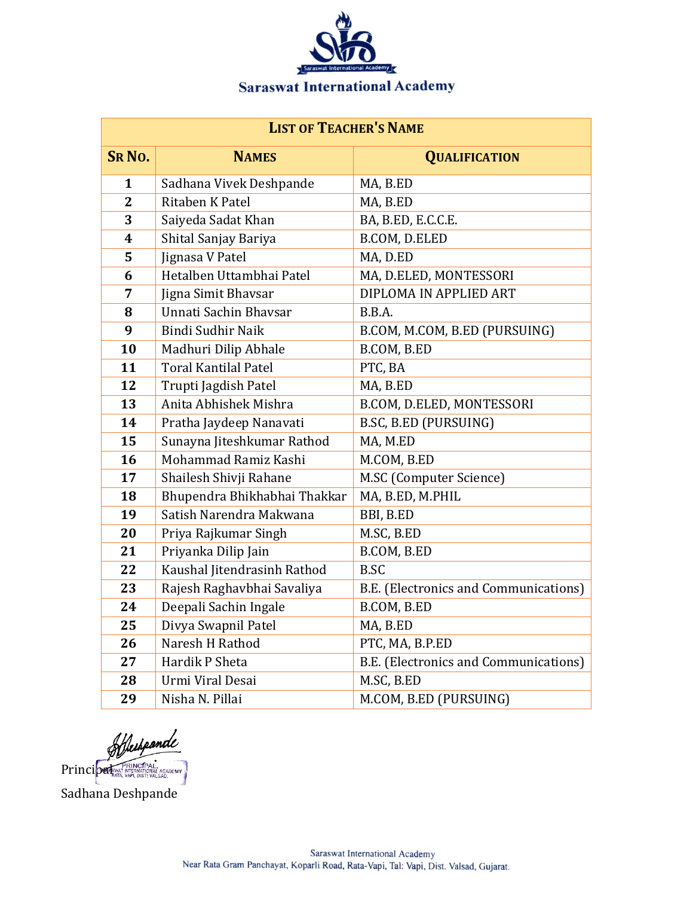

| <b>LIST OF TEACHER'S NAME</b> |                              |                                       |  |  |
|-------------------------------|------------------------------|---------------------------------------|--|--|
| <b>SRNO.</b>                  | <b>NAMES</b>                 | <b>QUALIFICATION</b>                  |  |  |
| $\mathbf{1}$                  | Sadhana Vivek Deshpande      | MA, B.ED                              |  |  |
| $\overline{2}$                | Ritaben K Patel              | MA, B.ED                              |  |  |
| 3                             | Saiyeda Sadat Khan           | BA, B.ED, E.C.C.E.                    |  |  |
| 4                             | Shital Sanjay Bariya         | B.COM, D.ELED                         |  |  |
| 5                             | Jignasa V Patel              | MA, D.ED                              |  |  |
| 6                             | Hetalben Uttambhai Patel     | MA, D.ELED, MONTESSORI                |  |  |
| 7                             | Jigna Simit Bhavsar          | DIPLOMA IN APPLIED ART                |  |  |
| 8                             | Unnati Sachin Bhaysar        | B.B.A.                                |  |  |
| 9                             | Bindi Sudhir Naik            | B.COM, M.COM, B.ED (PURSUING)         |  |  |
| 10                            | Madhuri Dilip Abhale         | B.COM, B.ED                           |  |  |
| 11                            | <b>Toral Kantilal Patel</b>  | PTC, BA                               |  |  |
| 12                            | Trupti Jagdish Patel         | MA, B.ED                              |  |  |
| 13                            | Anita Abhishek Mishra        | B.COM, D.ELED, MONTESSORI             |  |  |
| 14                            | Pratha Jaydeep Nanavati      | B.SC, B.ED (PURSUING)                 |  |  |
| 15                            | Sunayna Jiteshkumar Rathod   | MA, M.ED                              |  |  |
| 16                            | Mohammad Ramiz Kashi         | M.COM, B.ED                           |  |  |
| 17                            | Shailesh Shivji Rahane       | M.SC (Computer Science)               |  |  |
| 18                            | Bhupendra Bhikhabhai Thakkar | MA, B.ED, M.PHIL                      |  |  |
| 19                            | Satish Narendra Makwana      | BBI, B.ED                             |  |  |
| 20                            | Priya Rajkumar Singh         | M.SC, B.ED                            |  |  |
| 21                            | Priyanka Dilip Jain          | B.COM, B.ED                           |  |  |
| 22                            | Kaushal Jitendrasinh Rathod  | B.SC                                  |  |  |
| 23                            | Rajesh Raghavbhai Savaliya   | B.E. (Electronics and Communications) |  |  |
| 24                            | Deepali Sachin Ingale        | B.COM, B.ED                           |  |  |
| 25                            | Divya Swapnil Patel          | MA, B.ED                              |  |  |
| 26                            | Naresh H Rathod              | PTC, MA, B.P.ED                       |  |  |
| 27                            | Hardik P Sheta               | B.E. (Electronics and Communications) |  |  |
| 28                            | Urmi Viral Desai             | M.SC, B.ED                            |  |  |
| 29                            | Nisha N. Pillai              | M.COM, B.ED (PURSUING)                |  |  |

Offerthe Contract CARL AND PRINCIPAL CARDENT Sadhana Deshpande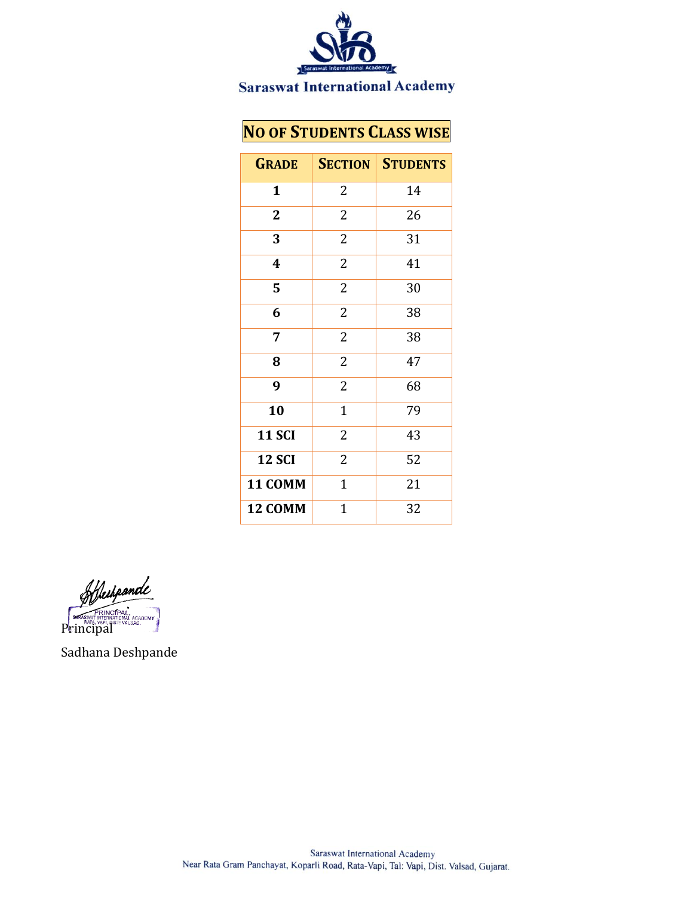

## **NO OF STUDENTS CLASS WISE**

| <b>GRADE</b>  | <b>SECTION</b> | <b>STUDENTS</b> |
|---------------|----------------|-----------------|
| $\mathbf{1}$  | 2              | 14              |
| $\mathbf{2}$  | $\overline{2}$ | 26              |
| 3             | 2              | 31              |
| 4             | $\overline{2}$ | 41              |
| 5             | $\overline{2}$ | 30              |
| 6             | $\overline{2}$ | 38              |
| 7             | $\overline{2}$ | 38              |
| 8             | $\overline{2}$ | 47              |
| 9             | $\overline{2}$ | 68              |
| 10            | $\mathbf{1}$   | 79              |
| <b>11 SCI</b> | 2              | 43              |
| <b>12 SCI</b> | $\overline{2}$ | 52              |
| 11 COMM       | $\mathbf{1}$   | 21              |
| 12 COMM       | $\mathbf{1}$   | 32              |

Hechpande **PRINCIPAL**<br>PRIATA, VAPI, QIST: VALSAD,<br>Principal

Sadhana Deshpande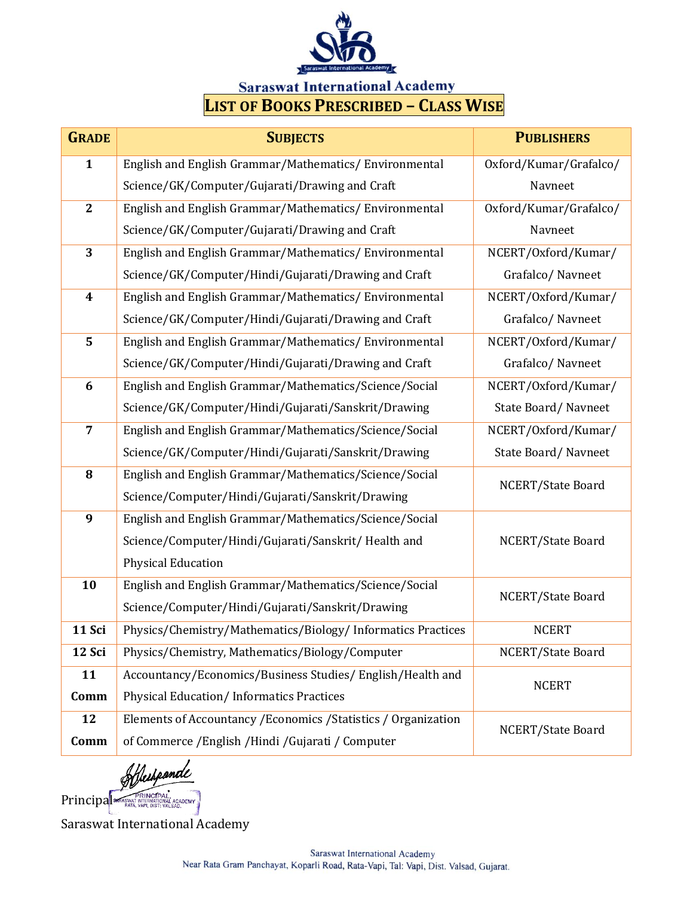

# **LIST OF BOOKS PRESCRIBED – CLASS WISE**

| <b>GRADE</b>     | <b>SUBJECTS</b>                                                 | <b>PUBLISHERS</b>      |  |
|------------------|-----------------------------------------------------------------|------------------------|--|
| $\mathbf{1}$     | English and English Grammar/Mathematics/Environmental           | Oxford/Kumar/Grafalco/ |  |
|                  | Science/GK/Computer/Gujarati/Drawing and Craft                  | Navneet                |  |
| $\overline{2}$   | English and English Grammar/Mathematics/Environmental           | Oxford/Kumar/Grafalco/ |  |
|                  | Science/GK/Computer/Gujarati/Drawing and Craft                  | Navneet                |  |
| 3                | English and English Grammar/Mathematics/Environmental           | NCERT/Oxford/Kumar/    |  |
|                  | Science/GK/Computer/Hindi/Gujarati/Drawing and Craft            | Grafalco/Navneet       |  |
| $\boldsymbol{4}$ | English and English Grammar/Mathematics/Environmental           | NCERT/Oxford/Kumar/    |  |
|                  | Science/GK/Computer/Hindi/Gujarati/Drawing and Craft            | Grafalco/Navneet       |  |
| 5                | English and English Grammar/Mathematics/Environmental           | NCERT/Oxford/Kumar/    |  |
|                  | Science/GK/Computer/Hindi/Gujarati/Drawing and Craft            | Grafalco/Navneet       |  |
| 6                | English and English Grammar/Mathematics/Science/Social          | NCERT/Oxford/Kumar/    |  |
|                  | Science/GK/Computer/Hindi/Gujarati/Sanskrit/Drawing             | State Board/Navneet    |  |
| $\overline{7}$   | English and English Grammar/Mathematics/Science/Social          | NCERT/Oxford/Kumar/    |  |
|                  | Science/GK/Computer/Hindi/Gujarati/Sanskrit/Drawing             | State Board/Navneet    |  |
| 8                | English and English Grammar/Mathematics/Science/Social          | NCERT/State Board      |  |
|                  | Science/Computer/Hindi/Gujarati/Sanskrit/Drawing                |                        |  |
| 9                | English and English Grammar/Mathematics/Science/Social          |                        |  |
|                  | Science/Computer/Hindi/Gujarati/Sanskrit/Health and             | NCERT/State Board      |  |
|                  | <b>Physical Education</b>                                       |                        |  |
| 10               | English and English Grammar/Mathematics/Science/Social          | NCERT/State Board      |  |
|                  | Science/Computer/Hindi/Gujarati/Sanskrit/Drawing                |                        |  |
| 11 Sci           | Physics/Chemistry/Mathematics/Biology/ Informatics Practices    | <b>NCERT</b>           |  |
| 12 Sci           | Physics/Chemistry, Mathematics/Biology/Computer                 | NCERT/State Board      |  |
| 11               | Accountancy/Economics/Business Studies/English/Health and       | <b>NCERT</b>           |  |
| Comm             | <b>Physical Education/Informatics Practices</b>                 |                        |  |
| 12               | Elements of Accountancy / Economics / Statistics / Organization | NCERT/State Board      |  |
| Comm             | of Commerce / English / Hindi / Gujarati / Computer             |                        |  |

Heihpande

Principal STAR VAPINCIPAL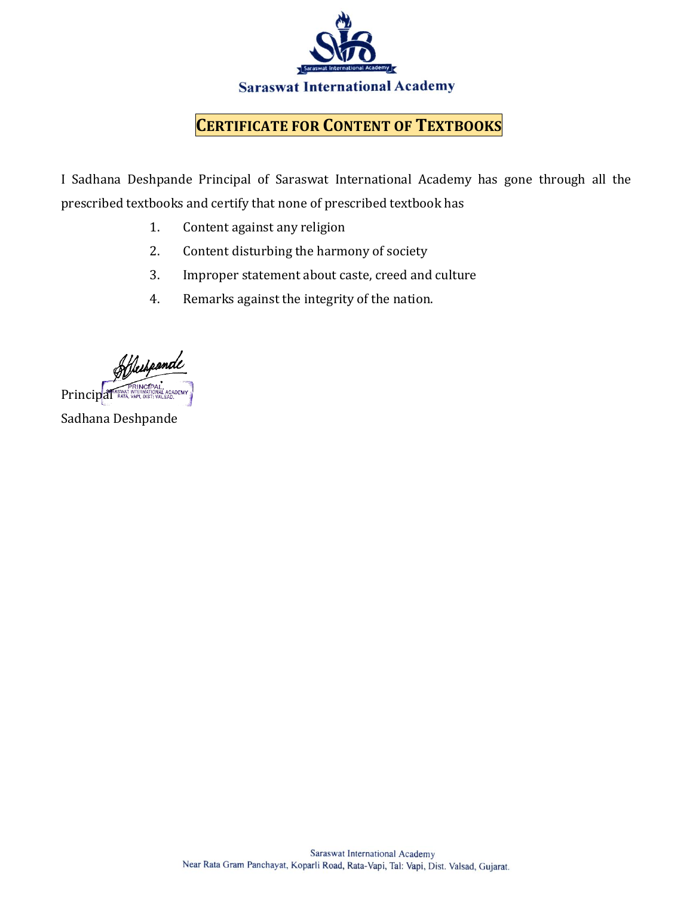

#### **CERTIFICATE FOR CONTENT OF TEXTBOOKS**

I Sadhana Deshpande Principal of Saraswat International Academy has gone through all the prescribed textbooks and certify that none of prescribed textbook has

- 1. Content against any religion
- 2. Content disturbing the harmony of society
- 3. Improper statement about caste, creed and culture
- 4. Remarks against the integrity of the nation.

Hechpande Principal RATA, VAPI, DIS

Sadhana Deshpande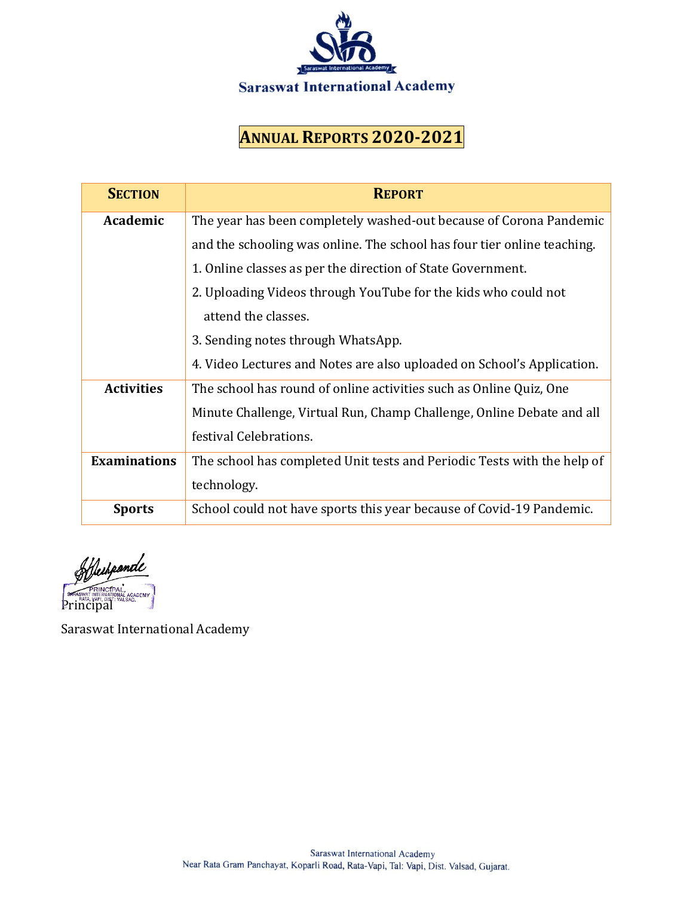

## **ANNUAL REPORTS 2020-2021**

| <b>SECTION</b>      | <b>REPORT</b>                                                           |  |  |
|---------------------|-------------------------------------------------------------------------|--|--|
| Academic            | The year has been completely washed-out because of Corona Pandemic      |  |  |
|                     | and the schooling was online. The school has four tier online teaching. |  |  |
|                     | 1. Online classes as per the direction of State Government.             |  |  |
|                     | 2. Uploading Videos through YouTube for the kids who could not          |  |  |
|                     | attend the classes.                                                     |  |  |
|                     | 3. Sending notes through WhatsApp.                                      |  |  |
|                     | 4. Video Lectures and Notes are also uploaded on School's Application.  |  |  |
| <b>Activities</b>   | The school has round of online activities such as Online Quiz, One      |  |  |
|                     | Minute Challenge, Virtual Run, Champ Challenge, Online Debate and all   |  |  |
|                     | festival Celebrations.                                                  |  |  |
| <b>Examinations</b> | The school has completed Unit tests and Periodic Tests with the help of |  |  |
|                     | technology.                                                             |  |  |
| <b>Sports</b>       | School could not have sports this year because of Covid-19 Pandemic.    |  |  |

Heihpande **PRINCIPAL ACADEMY**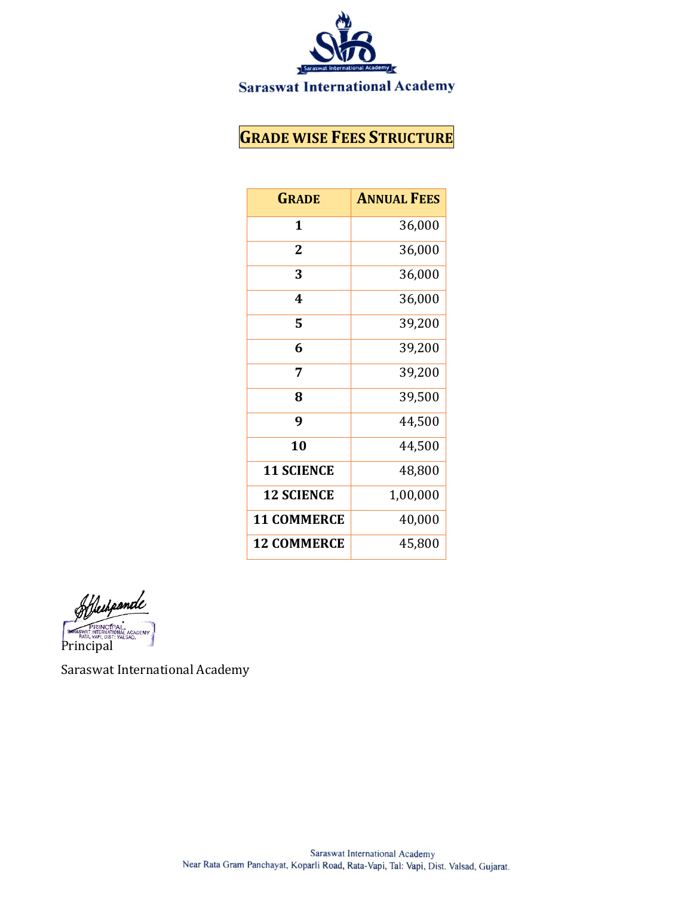

## **GRADE WISE FEES STRUCTURE**

| <b>GRADE</b>       | <b>ANNUAL FEES</b> |
|--------------------|--------------------|
| 1                  | 36,000             |
| 2                  | 36,000             |
| 3                  | 36,000             |
| 4                  | 36,000             |
| 5                  | 39,200             |
| 6                  | 39,200             |
| 7                  | 39,200             |
| 8                  | 39,500             |
| 9                  | 44,500             |
| 10                 | 44,500             |
| <b>11 SCIENCE</b>  | 48,800             |
| <b>12 SCIENCE</b>  | 1,00,000           |
| <b>11 COMMERCE</b> | 40,000             |
| <b>12 COMMERCE</b> | 45,800             |

Heihpande **STRASWAT INTERNATIC<br>Principal ACADEMY**